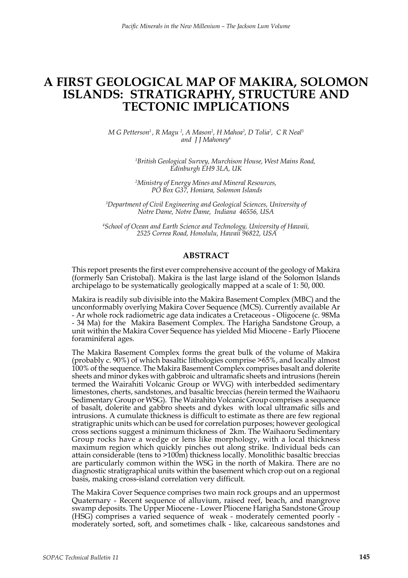# **A FIRST GEOLOGICAL MAP OF MAKIRA, SOLOMON ISLANDS: STRATIGRAPHY, STRUCTURE AND TECTONIC IMPLICATIONS**

*M G* Petterson<sup>1</sup>, *R Magu*<sup>2</sup>, *A Mason<sup>2</sup>, <i>H Mahoa<sup>2</sup>, D Tolia<sup>2</sup>, C R Neal*<sup>3</sup> *and J J Mahoney4*

> *1 British Geological Survey, Murchison House, West Mains Road, Edinburgh EH9 3LA, UK*

*2 Ministry of Energy Mines and Mineral Resources, PO Box G37, Honiara, Solomon Islands*

*3 Department of Civil Engineering and Geological Sciences, University of Notre Dame, Notre Dame, Indiana 46556, USA*

*4 School of Ocean and Earth Science and Technology, University of Hawaii, 2525 Correa Road, Honolulu, Hawaii 96822, USA*

### **ABSTRACT**

This report presents the first ever comprehensive account of the geology of Makira (formerly San Cristobal). Makira is the last large island of the Solomon Islands archipelago to be systematically geologically mapped at a scale of 1: 50, 000.

Makira is readily sub divisible into the Makira Basement Complex (MBC) and the unconformably overlying Makira Cover Sequence (MCS). Currently available Ar - Ar whole rock radiometric age data indicates a Cretaceous - Oligocene (c. 98Ma - 34 Ma) for the Makira Basement Complex. The Harigha Sandstone Group, a unit within the Makira Cover Sequence has yielded Mid Miocene - Early Pliocene foraminiferal ages.

The Makira Basement Complex forms the great bulk of the volume of Makira (probably c. 90%) of which basaltic lithologies comprise >65%, and locally almost 100% of the sequence. The Makira Basement Complex comprises basalt and dolerite sheets and minor dykes with gabbroic and ultramafic sheets and intrusions (herein termed the Wairahiti Volcanic Group or WVG) with interbedded sedimentary limestones, cherts, sandstones, and basaltic breccias (herein termed the Waihaoru Sedimentary Group or WSG). The Wairahito Volcanic Group comprises a sequence of basalt, dolerite and gabbro sheets and dykes with local ultramafic sills and intrusions. A cumulate thickness is difficult to estimate as there are few regional stratigraphic units which can be used for correlation purposes; however geological cross sections suggest a minimum thickness of 2km. The Waihaoru Sedimentary Group rocks have a wedge or lens like morphology, with a local thickness maximum region which quickly pinches out along strike. Individual beds can attain considerable (tens to >100m) thickness locally. Monolithic basaltic breccias are particularly common within the WSG in the north of Makira. There are no diagnostic stratigraphical units within the basement which crop out on a regional basis, making cross-island correlation very difficult.

The Makira Cover Sequence comprises two main rock groups and an uppermost Quaternary - Recent sequence of alluvium, raised reef, beach, and mangrove swamp deposits. The Upper Miocene - Lower Pliocene Harigha Sandstone Group (HSG) comprises a varied sequence of weak - moderately cemented poorly moderately sorted, soft, and sometimes chalk - like, calcareous sandstones and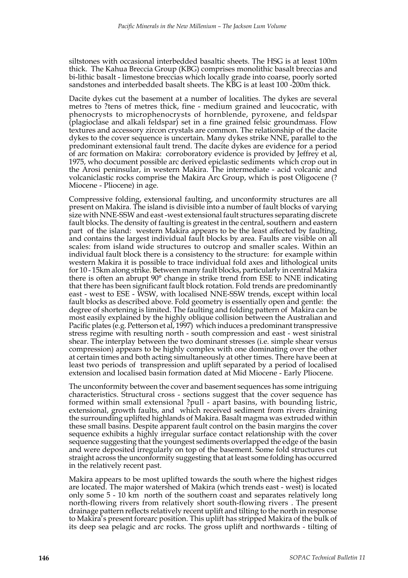siltstones with occasional interbedded basaltic sheets. The HSG is at least 100m thick. The Kahua Breccia Group (KBG) comprises monolithic basalt breccias and bi-lithic basalt - limestone breccias which locally grade into coarse, poorly sorted sandstones and interbedded basalt sheets. The KBG is at least 100 -200m thick.

Dacite dykes cut the basement at a number of localities. The dykes are several metres to ?tens of metres thick, fine - medium grained and leucocratic, with phenocrysts to microphenocrysts of hornblende, pyroxene, and feldspar (plagioclase and alkali feldspar) set in a fine grained felsic groundmass. Flow textures and accessory zircon crystals are common. The relationship of the dacite dykes to the cover sequence is uncertain. Many dykes strike NNE, parallel to the predominant extensional fault trend. The dacite dykes are evidence for a period of arc formation on Makira: corroboratory evidence is provided by Jeffrey et al, 1975, who document possible arc derived epiclastic sediments which crop out in the Arosi peninsular, in western Makira. The intermediate - acid volcanic and volcaniclastic rocks comprise the Makira Arc Group, which is post Oligocene (? Miocene - Pliocene) in age.

Compressive folding, extensional faulting, and unconformity structures are all present on Makira. The island is divisible into a number of fault blocks of varying size with NNE-SSW and east -west extensional fault structures separating discrete fault blocks. The density of faulting is greatest in the central, southern and eastern part of the island: western Makira appears to be the least affected by faulting, and contains the largest individual fault blocks by area. Faults are visible on all scales: from island wide structures to outcrop and smaller scales. Within an individual fault block there is a consistency to the structure: for example within western Makira it is possible to trace individual fold axes and lithological units for 10 - 15km along strike. Between many fault blocks, particularly in central Makira there is often an abrupt 90° change in strike trend from ESE to NNE indicating that there has been significant fault block rotation. Fold trends are predominantly east - west to ESE - WSW, with localised NNE-SSW trends, except within local fault blocks as described above. Fold geometry is essentially open and gentle: the degree of shortening is limited. The faulting and folding pattern of Makira can be most easily explained by the highly oblique collision between the Australian and Pacific plates (e.g. Petterson et al, 1997) which induces a predominant transpressive stress regime with resulting north - south compression and east - west sinistral shear. The interplay between the two dominant stresses (i.e. simple shear versus compression) appears to be highly complex with one dominating over the other at certain times and both acting simultaneously at other times. There have been at least two periods of transpression and uplift separated by a period of localised extension and localised basin formation dated at Mid Miocene - Early Pliocene.

The unconformity between the cover and basement sequences has some intriguing characteristics. Structural cross - sections suggest that the cover sequence has formed within small extensional ?pull - apart basins, with bounding listric, extensional, growth faults, and which received sediment from rivers draining the surrounding uplifted highlands of Makira. Basalt magma was extruded within these small basins. Despite apparent fault control on the basin margins the cover sequence exhibits a highly irregular surface contact relationship with the cover sequence suggesting that the youngest sediments overlapped the edge of the basin and were deposited irregularly on top of the basement. Some fold structures cut straight across the unconformity suggesting that at least some folding has occurred in the relatively recent past.

Makira appears to be most uplifted towards the south where the highest ridges are located. The major watershed of Makira (which trends east - west) is located only some 5 - 10 km north of the southern coast and separates relatively long north-flowing rivers from relatively short south-flowing rivers . The present drainage pattern reflects relatively recent uplift and tilting to the north in response to Makira's present forearc position. This uplift has stripped Makira of the bulk of its deep sea pelagic and arc rocks. The gross uplift and northwards - tilting of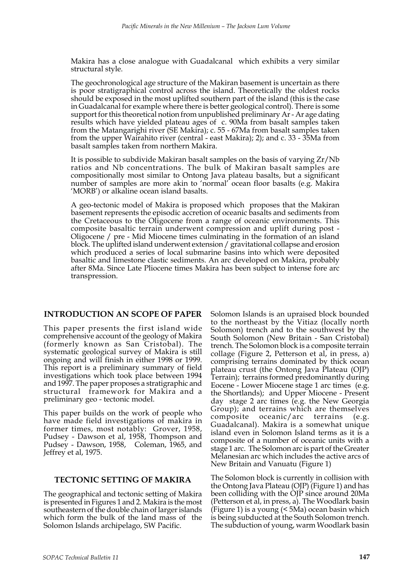Makira has a close analogue with Guadalcanal which exhibits a very similar structural style.

The geochronological age structure of the Makiran basement is uncertain as there is poor stratigraphical control across the island. Theoretically the oldest rocks should be exposed in the most uplifted southern part of the island (this is the case in Guadalcanal for example where there is better geological control). There is some support for this theoretical notion from unpublished preliminary Ar - Ar age dating results which have yielded plateau ages of c. 90Ma from basalt samples taken from the Matangarighi river (SE Makira); c. 55 - 67Ma from basalt samples taken from the upper Wairahito river (central - east Makira); 2); and c. 33 - 35Ma from basalt samples taken from northern Makira.

It is possible to subdivide Makiran basalt samples on the basis of varying Zr/Nb ratios and Nb concentrations. The bulk of Makiran basalt samples are compositionally most similar to Ontong Java plateau basalts, but a significant number of samples are more akin to 'normal' ocean floor basalts (e.g. Makira 'MORB') or alkaline ocean island basalts.

A geo-tectonic model of Makira is proposed which proposes that the Makiran basement represents the episodic accretion of oceanic basalts and sediments from the Cretaceous to the Oligocene from a range of oceanic environments. This composite basaltic terrain underwent compression and uplift during post - Oligocene / pre - Mid Miocene times culminating in the formation of an island block. The uplifted island underwent extension / gravitational collapse and erosion which produced a series of local submarine basins into which were deposited basaltic and limestone clastic sediments. An arc developed on Makira, probably after 8Ma. Since Late Pliocene times Makira has been subject to intense fore arc transpression.

### **INTRODUCTION AN SCOPE OF PAPER**

This paper presents the first island wide comprehensive account of the geology of Makira (formerly known as San Cristobal). The systematic geological survey of Makira is still ongoing and will finish in either 1998 or 1999. This report is a preliminary summary of field investigations which took place between 1994 and 1997. The paper proposes a stratigraphic and structural framework for Makira and a preliminary geo - tectonic model.

This paper builds on the work of people who have made field investigations of makira in former times, most notably: Grover, 1958, Pudsey - Dawson et al, 1958, Thompson and Pudsey - Dawson, 1958, Coleman, 1965, and Jeffrey et al, 1975.

### **TECTONIC SETTING OF MAKIRA**

The geographical and tectonic setting of Makira is presented in Figures 1 and 2. Makira is the most southeastern of the double chain of larger islands which form the bulk of the land mass of the Solomon Islands archipelago, SW Pacific.

Solomon Islands is an upraised block bounded to the northeast by the Vitiaz (locally north Solomon) trench and to the southwest by the South Solomon (New Britain - San Cristobal) trench. The Solomon block is a composite terrain collage (Figure 2, Petterson et al, in press, a) comprising terrains dominated by thick ocean plateau crust (the Ontong Java Plateau (OJP) Terrain); terrains formed predominantly during Eocene - Lower Miocene stage 1 arc times (e.g. the Shortlands); and Upper Miocene - Present day stage 2 arc times (e.g. the New Georgia Group); and terrains which are themselves composite oceanic/arc terrains (e.g. Guadalcanal). Makira is a somewhat unique island even in Solomon Island terms as it is a composite of a number of oceanic units with a stage 1 arc. The Solomon arc is part of the Greater Melanesian arc which includes the active arcs of New Britain and Vanuatu (Figure 1)

The Solomon block is currently in collision with the Ontong Java Plateau (OJP) (Figure 1) and has been colliding with the OJP since around 20Ma (Petterson et al, in press, a). The Woodlark basin (Figure 1) is a young (< 5Ma) ocean basin which is being subducted at the South Solomon trench. The subduction of young, warm Woodlark basin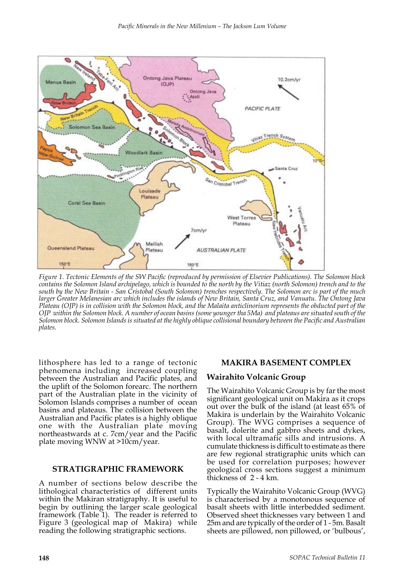

*Figure 1. Tectonic Elements of the SW Pacific (reproduced by permission of Elsevier Publications). The Solomon block contains the Solomon Island archipelago, which is bounded to the north by the Vitiaz (north Solomon) trench and to the south by the New Britain - San Cristobal (South Solomon) trenches respectively. The Solomon arc is part of the much larger Greater Melanesian arc which includes the islands of New Britain, Santa Cruz, and Vanuatu. The Ontong Java Plateau (OJP) is in collision with the Solomon block, and the Malaita anticlinorium represents the obducted part of the OJP within the Solomon block. A number of ocean basins (some younger tha 5Ma) and plateaus are situated south of the Solomon block. Solomon Islands is situated at the highly oblique collisional boundary between the Pacific and Australian plates.*

lithosphere has led to a range of tectonic phenomena including increased coupling between the Australian and Pacific plates, and the uplift of the Solomon forearc. The northern part of the Australian plate in the vicinity of Solomon Islands comprises a number of ocean basins and plateaus. The collision between the Australian and Pacific plates is a highly oblique one with the Australian plate moving northeastwards at c. 7cm/year and the Pacific plate moving WNW at >10cm/year.

#### **STRATIGRAPHIC FRAMEWORK**

A number of sections below describe the lithological characteristics of different units within the Makiran stratigraphy. It is useful to begin by outlining the larger scale geological framework (Table 1). The reader is referred to Figure 3 (geological map of Makira) while reading the following stratigraphic sections.

### **MAKIRA BASEMENT COMPLEX**

### **Wairahito Volcanic Group**

The Wairahito Volcanic Group is by far the most significant geological unit on Makira as it crops out over the bulk of the island (at least 65% of Makira is underlain by the Wairahito Volcanic Group). The WVG comprises a sequence of basalt, dolerite and gabbro sheets and dykes, with local ultramafic sills and intrusions. A cumulate thickness is difficult to estimate as there are few regional stratigraphic units which can be used for correlation purposes; however geological cross sections suggest a minimum thickness of 2 - 4 km.

Typically the Wairahito Volcanic Group (WVG) is characterised by a monotonous sequence of basalt sheets with little interbedded sediment. Observed sheet thicknesses vary between 1 and 25m and are typically of the order of 1 - 5m. Basalt sheets are pillowed, non pillowed, or 'bulbous',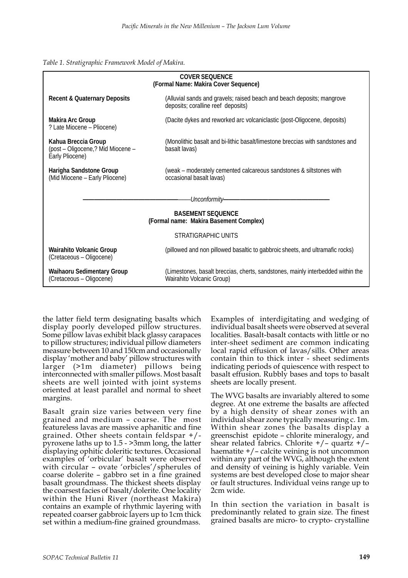| COVER SFOUENCE<br>(Formal Name: Makira Cover Sequence)                      |                                                                                                              |  |
|-----------------------------------------------------------------------------|--------------------------------------------------------------------------------------------------------------|--|
| <b>Recent &amp; Quaternary Deposits</b>                                     | (Alluvial sands and gravels; raised beach and beach deposits; mangrove<br>deposits; coralline reef deposits) |  |
| <b>Makira Arc Group</b><br>? Late Miocene - Pliocene)                       | (Dacite dykes and reworked arc volcaniclastic (post-Oligocene, deposits)                                     |  |
| Kahua Breccia Group<br>(post – Oligocene,? Mid Miocene –<br>Early Pliocene) | (Monolithic basalt and bi-lithic basalt/limestone breccias with sandstones and<br>basalt lavas)              |  |
| Harigha Sandstone Group<br>(Mid Miocene - Early Pliocene)                   | (weak – moderately cemented calcareous sandstones & siltstones with<br>occasional basalt lavas)              |  |
| Unconformity—                                                               |                                                                                                              |  |
| <b>BASEMENT SEQUENCE</b><br>(Formal name: Makira Basement Complex)          |                                                                                                              |  |
| STRATIGRAPHIC UNITS                                                         |                                                                                                              |  |
| <b>Wairahito Volcanic Group</b><br>(Cretaceous - Oligocene)                 | (pillowed and non pillowed basaltic to gabbroic sheets, and ultramafic rocks)                                |  |
| <b>Waihaoru Sedimentary Group</b><br>(Cretaceous - Oligocene)               | (Limestones, basalt breccias, cherts, sandstones, mainly interbedded within the<br>Wairahito Volcanic Group) |  |

the latter field term designating basalts which display poorly developed pillow structures. Some pillow lavas exhibit black glassy carapaces to pillow structures; individual pillow diameters measure between 10 and 150cm and occasionally display 'mother and baby' pillow structures with larger (>1m diameter) pillows being interconnected with smaller pillows. Most basalt sheets are well jointed with joint systems oriented at least parallel and normal to sheet margins.

Basalt grain size varies between very fine grained and medium – coarse. The most featureless lavas are massive aphanitic and fine grained. Other sheets contain feldspar +/ pyroxene laths up to 1.5 - >3mm long, the latter displaying ophitic doleritic textures. Occasional examples of 'orbicular' basalt were observed with circular – ovate 'orbicles'/spherules of coarse dolerite – gabbro set in a fine grained basalt groundmass. The thickest sheets display the coarsest facies of basalt/dolerite. One locality within the Huni River (northeast Makira) contains an example of rhythmic layering with repeated coarser gabbroic layers up to 1cm thick set within a medium-fine grained groundmass.

Examples of interdigitating and wedging of individual basalt sheets were observed at several localities. Basalt-basalt contacts with little or no inter-sheet sediment are common indicating local rapid effusion of lavas/sills. Other areas contain thin to thick inter - sheet sediments indicating periods of quiescence with respect to basalt effusion. Rubbly bases and tops to basalt sheets are locally present.

The WVG basalts are invariably altered to some degree. At one extreme the basalts are affected by a high density of shear zones with an individual shear zone typically measuring c. 1m. Within shear zones the basalts display a greenschist epidote – chlorite mineralogy, and shear related fabrics. Chlorite +/– quartz +/– haematite +/– calcite veining is not uncommon within any part of the WVG, although the extent and density of veining is highly variable. Vein systems are best developed close to major shear or fault structures. Individual veins range up to 2cm wide.

In thin section the variation in basalt is predominantly related to grain size. The finest grained basalts are micro- to crypto- crystalline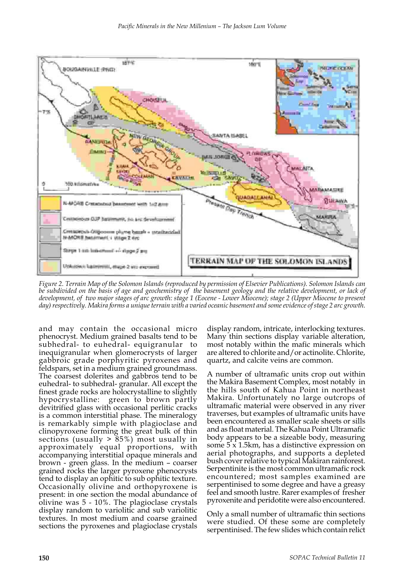

*Figure 2. Terrain Map of the Solomon Islands (reproduced by permission of Elsevier Publications). Solomon Islands can be subdivided on the basis of age and geochemistry of the basement geology and the relative development, or lack of development, of two major stages of arc growth: stage 1 (Eocene - Lower Miocene); stage 2 (Upper Miocene to present day) respectively. Makira forms a unique terrain with a varied oceanic basement and some evidence of stage 2 arc growth.*

and may contain the occasional micro phenocryst. Medium grained basalts tend to be subhedral- to euhedral- equigranular to inequigranular when glomerocrysts of larger gabbroic grade porphyritic pyroxenes and feldspars, set in a medium grained groundmass. The coarsest dolerites and gabbros tend to be euhedral- to subhedral- granular. All except the finest grade rocks are holocrystalline to slightly hypocrystalline: green to brown partly devitrified glass with occasional perlitic cracks is a common interstitial phase. The mineralogy is remarkably simple with plagioclase and clinopyroxene forming the great bulk of thin sections (usually  $> 85\%$ ) most usually in approximately equal proportions, with accompanying interstitial opaque minerals and brown - green glass. In the medium – coarser grained rocks the larger pyroxene phenocrysts tend to display an ophitic to sub ophitic texture. Occasionally olivine and orthopyroxene is present: in one section the modal abundance of olivine was 5 - 10%. The plagioclase crystals display random to variolitic and sub variolitic textures. In most medium and coarse grained sections the pyroxenes and plagioclase crystals

display random, intricate, interlocking textures. Many thin sections display variable alteration, most notably within the mafic minerals which are altered to chlorite and/or actinolite. Chlorite, quartz, and calcite veins are common.

A number of ultramafic units crop out within the Makira Basement Complex, most notably in the hills south of Kahua Point in northeast Makira. Unfortunately no large outcrops of ultramafic material were observed in any river traverses, but examples of ultramafic units have been encountered as smaller scale sheets or sills and as float material. The Kahua Point Ultramafic body appears to be a sizeable body, measuring some 5 x 1.5km, has a distinctive expression on aerial photographs, and supports a depleted bush cover relative to typical Makiran rainforest. Serpentinite is the most common ultramafic rock encountered; most samples examined are serpentinised to some degree and have a greasy feel and smooth lustre. Rarer examples of fresher pyroxenite and peridotite were also encountered.

Only a small number of ultramafic thin sections were studied. Of these some are completely serpentinised. The few slides which contain relict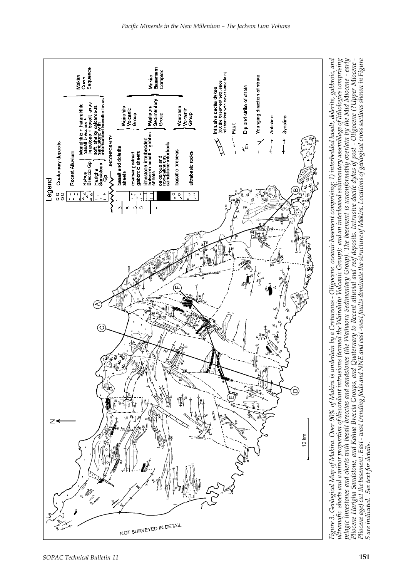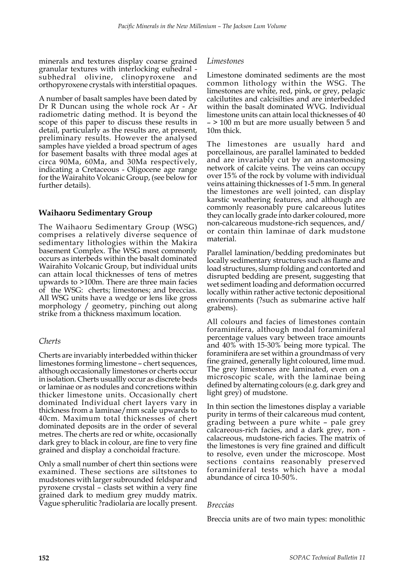minerals and textures display coarse grained granular textures with interlocking euhedral subhedral olivine, clinopyroxene and orthopyroxene crystals with interstitial opaques.

A number of basalt samples have been dated by Dr R Duncan using the whole rock Ar - Ar radiometric dating method. It is beyond the scope of this paper to discuss these results in detail, particularly as the results are, at present, preliminary results. However the analysed samples have yielded a broad spectrum of ages for basement basalts with three modal ages at circa 90Ma, 60Ma, and 30Ma respectively, indicating a Cretaceous - Oligocene age range for the Wairahito Volcanic Group, (see below for further details).

# **Waihaoru Sedimentary Group**

The Waihaoru Sedimentary Group (WSG) comprises a relatively diverse sequence of sedimentary lithologies within the Makira basement Complex. The WSG most commonly occurs as interbeds within the basalt dominated Wairahito Volcanic Group, but individual units can attain local thicknesses of tens of metres upwards to >100m. There are three main facies of the WSG: cherts; limestones; and breccias. All WSG units have a wedge or lens like gross morphology / geometry, pinching out along strike from a thickness maximum location.

# *Cherts*

Cherts are invariably interbedded within thicker limestones forming limestone – chert sequences, although occasionally limestones or cherts occur in isolation. Cherts usuallly occur as discrete beds or laminae or as nodules and concretions within thicker limestone units. Occasionally chert dominated Individual chert layers vary in thickness from a laminae/mm scale upwards to 40cm. Maximum total thicknesses of chert dominated deposits are in the order of several metres. The cherts are red or white, occasionally dark grey to black in colour, are fine to very fine grained and display a conchoidal fracture.

Only a small number of chert thin sections were examined. These sections are siltstones to mudstones with larger subrounded feldspar and pyroxene crystal – clasts set within a very fine grained dark to medium grey muddy matrix. Vague spherulitic ?radiolaria are locally present.

### *Limestones*

Limestone dominated sediments are the most common lithology within the WSG. The limestones are white, red, pink, or grey, pelagic calcilutites and calcisilties and are interbedded within the basalt dominated WVG. Individual limestone units can attain local thicknesses of 40 – > 100 m but are more usually between 5 and 10m thick.

The limestones are usually hard and porcellainous, are parallel laminated to bedded and are invariably cut by an anastomosing network of calcite veins. The veins can occupy over 15% of the rock by volume with individual veins attaining thicknesses of 1-5 mm. In general the limestones are well jointed, can display karstic weathering features, and although are commonly reasonably pure calcareous lutites they can locally grade into darker coloured, more non-calcareous mudstone-rich sequences, and/ or contain thin laminae of dark mudstone material.

Parallel lamination/bedding predominates but locally sedimentary structures such as flame and load structures, slump folding and contorted and disrupted bedding are present, suggesting that wet sediment loading and deformation occurred locally within rather active tectonic depositional environments (?such as submarine active half grabens).

All colours and facies of limestones contain foraminifera, although modal foraminiferal percentage values vary between trace amounts and 40% with 15-30% being more typical. The foraminifera are set within a groundmass of very fine grained, generally light coloured, lime mud. The grey limestones are laminated, even on a microscopic scale, with the laminae being defined by alternating colours (e.g. dark grey and light grey) of mudstone.

In thin section the limestones display a variable purity in terms of their calcareous mud content, grading between a pure white – pale grey calcareous-rich facies, and a dark grey, non calacreous, mudstone-rich facies. The matrix of the limestones is very fine grained and difficult to resolve, even under the microscope. Most sections contains reasonably preserved foraminiferal tests which have a modal abundance of circa 10-50%.

### *Breccias*

Breccia units are of two main types: monolithic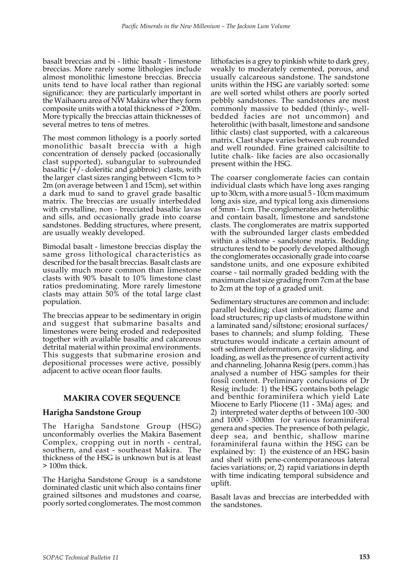basalt breccias and bi - lithic basalt - limestone breccias. More rarely some lithologies include almost monolithic limestone breccias. Breccia units tend to have local rather than regional significance: they are particularly important in the Waihaoru area of NW Makira wher they form composite units with a total thickness of > 200m. More typically the breccias attain thicknesses of several metres to tens of metres.

The most common lithology is a poorly sorted monolithic basalt breccia with a high concentration of densely packed (occasionally clast supported), subangular to subrounded basaltic  $(\frac{1}{r})$  - doleritic and gabbroic) clasts, with the larger clast sizes ranging between <1cm to > 2m (on average between 1 and 15cm), set within a dark mud to sand to gravel grade basaltic matrix. The breccias are usually interbedded with crystalline, non - brecciated basaltic lavas and sills, and occasionally grade into coarse sandstones. Bedding structures, where present, are usually weakly developed.

Bimodal basalt - limestone breccias display the same gross lithological characteristics as described for the basalt breccias. Basalt clasts are usually much more common than limestone clasts with 90% basalt to 10% limestone clast ratios predominating. More rarely limestone clasts may attain 50% of the total large clast population.

The breccias appear to be sedimentary in origin and suggest that submarine basalts and limestones were being eroded and redeposited together with available basaltic and calcareous detrital material within proximal environments. This suggests that submarine erosion and depositional processes were active, possibly adjacent to active ocean floor faults.

# **MAKIRA COVER SEQUENCE**

# **Harigha Sandstone Group**

The Harigha Sandstone Group (HSG) unconformably overlies the Makira Basement Complex, cropping out in north - central, southern, and east - southeast Makira. The thickness of the HSG is unknown but is at least > 100m thick.

The Harigha Sandstone Group is a sandstone dominated clastic unit which also contains finer grained siltsones and mudstones and coarse, poorly sorted conglomerates. The most common lithofacies is a grey to pinkish white to dark grey, weakly to moderately cemented, porous, and usually calcareous sandstone. The sandstone units within the HSG are variably sorted: some are well sorted whilst others are poorly sorted pebbly sandstones. The sandstones are most commonly massive to bedded (thinly-, wellbedded facies are not uncommon) and heterolithic (with basalt, limestone and sandsone lithic clasts) clast supported, with a calcareous matrix. Clast shape varies between sub rounded and well rounded. Fine grained calcisiltite to lutite chalk- like facies are also occasionally present within the HSG.

The coarser conglomerate facies can contain individual clasts which have long axes ranging up to 30cm, with a more usual 5 - 10cm maximum long axis size, and typical long axis dimensions of 5mm - 1cm. The conglomerates are heterolithic and contain basalt, limestone and sandstone clasts. The conglomerates are matrix supported with the subrounded larger clasts embedded within a siltstone - sandstone matrix. Bedding structures tend to be poorly developed although the conglomerates occasionally grade into coarse sandstone units, and one exposure exhibited coarse - tail normally graded bedding with the maximum clast size grading from 7cm at the base to 2cm at the top of a graded unit.

Sedimentary structures are common and include: parallel bedding; clast imbrication; flame and load structures; rip up clasts of mudstone within a laminated sand/siltstone; erosional surfaces/ bases to channels; and slump folding. These structures would indicate a certain amount of soft sediment deformation, gravity sliding, and loading, as well as the presence of current activity and channeling. Johanna Resig (pers. comm.) has analysed a number of HSG samples for their fossil content. Preliminary conclusions of Dr Resig include: 1) the HSG contains both pelagic and benthic foraminifera which yield Late Miocene to Early Pliocene (11 - 3Ma) ages; and 2) interpreted water depths of between 100 -300 and 1000 - 3000m for various foraminiferal genera and species. The presence of both pelagic, deep sea, and benthic, shallow marine foraminiferal fauna within the HSG can be explained by: 1) the existence of an HSG basin and shelf with pene-contemporaneous lateral facies variations; or, 2) rapid variations in depth with time indicating temporal subsidence and uplift.

Basalt lavas and breccias are interbedded with the sandstones.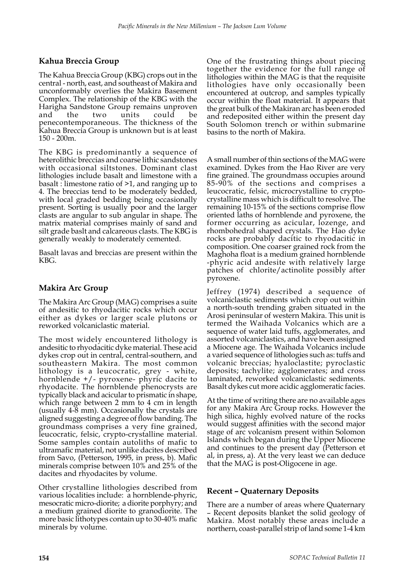# **Kahua Breccia Group**

The Kahua Breccia Group (KBG) crops out in the central - north, east, and southeast of Makira and unconformably overlies the Makira Basement Complex. The relationship of the KBG with the Harigha Sandstone Group remains unproven and the two units could be penecontemporaneous. The thickness of the Kahua Breccia Group is unknown but is at least 150 - 200m.

The KBG is predominantly a sequence of heterolithic breccias and coarse lithic sandstones with occasional siltstones. Dominant clast lithologies include basalt and limestone with a basalt : limestone ratio of >1, and ranging up to 4. The breccias tend to be moderately bedded, with local graded bedding being occasionally present. Sorting is usually poor and the larger clasts are angular to sub angular in shape. The matrix material comprises mainly of sand and silt grade baslt and calcareous clasts. The KBG is generally weakly to moderately cemented.

Basalt lavas and breccias are present within the KBG.

# **Makira Arc Group**

The Makira Arc Group (MAG) comprises a suite of andesitic to rhyodacitic rocks which occur either as dykes or larger scale plutons or reworked volcaniclastic material.

The most widely encountered lithology is andesitic to rhyodacitic dyke material. These acid dykes crop out in central, central-southern, and southeastern Makira. The most common lithology is a leucocratic, grey - white, hornblende +/- pyroxene- phyric dacite to rhyodacite. The hornblende phenocrysts are typically black and acicular to prismatic in shape, which range between 2 mm to 4 cm in length (usually 4-8 mm). Occasionally the crystals are aligned suggesting a degree of flow banding. The groundmass comprises a very fine grained, leucocratic, felsic, crypto-crystalline material. Some samples contain autoliths of mafic to ultramafic material, not unlike dacites described from Savo, (Petterson, 1995, in press, b). Mafic minerals comprise between 10% and 25% of the dacites and rhyodacites by volume.

Other crystalline lithologies described from various localities include: a hornblende-phyric, mesocratic micro-diorite; a diorite porphyry; and a medium grained diorite to granodiorite. The more basic lithotypes contain up to 30-40% mafic minerals by volume.

One of the frustrating things about piecing together the evidence for the full range of lithologies within the MAG is that the requisite lithologies have only occasionally been encountered at outcrop, and samples typically occur within the float material. It appears that the great bulk of the Makiran arc has been eroded and redeposited either within the present day South Solomon trench or within submarine basins to the north of Makira.

A small number of thin sections of the MAG were examined. Dykes from the Hao River are very fine grained. The groundmass occupies around 85-90% of the sections and comprises a leucocratic, felsic, microcrystalline to cryptocrystalline mass which is difficult to resolve. The remaining 10-15% of the sections comprise flow oriented laths of hornblende and pyroxene, the former occurring as acicular, lozenge, and rhombohedral shaped crystals. The Hao dyke rocks are probably dacitic to rhyodacitic in composition. One coarser grained rock from the Maghoha float is a medium grained hornblende -phyric acid andesite with relatively large patches of chlorite/actinolite possibly after pyroxene.

Jeffrey (1974) described a sequence of volcaniclastic sediments which crop out within a north-south trending graben situated in the Arosi peninsular of western Makira. This unit is termed the Waihada Volcanics which are a sequence of water laid tuffs, agglomerates, and assorted volcaniclastics, and have been assigned a Miocene age. The Waihada Volcanics include a varied sequence of lithologies such as: tuffs and volcanic breccias; hyaloclastite; pyroclastic deposits; tachylite; agglomerates; and cross laminated, reworked volcaniclastic sediments. Basalt dykes cut more acidic agglomeratic facies.

At the time of writing there are no available ages for any Makira Arc Group rocks. However the high silica, highly evolved nature of the rocks would suggest affinities with the second major stage of arc volcanism present within Solomon Islands which began during the Upper Miocene and continues to the present day (Petterson et al, in press, a). At the very least we can deduce that the MAG is post-Oligocene in age.

# **Recent – Quaternary Deposits**

There are a number of areas where Quaternary – Recent deposits blanket the solid geology of Makira. Most notably these areas include a northern, coast-parallel strip of land some 1-4 km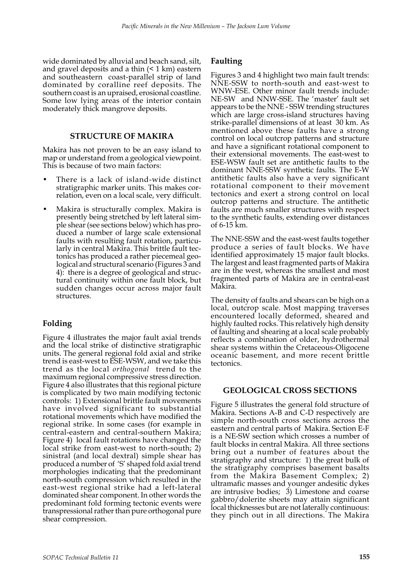wide dominated by alluvial and beach sand, silt, and gravel deposits and a thin  $($  <math>1 \text{ km}) eastern and southeastern coast-parallel strip of land dominated by coralline reef deposits. The southern coast is an upraised, erosional coastline. Some low lying areas of the interior contain moderately thick mangrove deposits.

### **STRUCTURE OF MAKIRA**

Makira has not proven to be an easy island to map or understand from a geological viewpoint. This is because of two main factors:

- There is a lack of island-wide distinct stratigraphic marker units. This makes correlation, even on a local scale, very difficult.
- Makira is structurally complex. Makira is presently being stretched by left lateral simple shear (see sections below) which has produced a number of large scale extensional faults with resulting fault rotation, particularly in central Makira. This brittle fault tectonics has produced a rather piecemeal geological and structural scenario (Figures 3 and 4): there is a degree of geological and structural continuity within one fault block, but sudden changes occur across major fault structures.

# **Folding**

Figure 4 illustrates the major fault axial trends and the local strike of distinctive stratigraphic units. The general regional fold axial and strike trend is east-west to ESE-WSW, and we take this trend as the local *orthogonal* trend to the maximum regional compressive stress direction. Figure 4 also illustrates that this regional picture is complicated by two main modifying tectonic controls: 1) Extensional brittle fault movements have involved significant to substantial rotational movements which have modified the regional strike. In some cases (for example in central-eastern and central-southern Makira; Figure 4) local fault rotations have changed the local strike from east-west to north-south; 2) sinistral (and local dextral) simple shear has produced a number of 'S' shaped fold axial trend morphologies indicating that the predominant north-south compression which resulted in the east-west regional strike had a left-lateral dominated shear component. In other words the predominant fold forming tectonic events were transpressional rather than pure orthogonal pure shear compression.

### **Faulting**

Figures 3 and 4 highlight two main fault trends: NNE-SSW to north-south and east-west to WNW-ESE. Other minor fault trends include: NE-SW and NNW-SSE. The 'master' fault set appears to be the NNE - SSW trending structures which are large cross-island structures having strike-parallel dimensions of at least 30 km. As mentioned above these faults have a strong control on local outcrop patterns and structure and have a significant rotational component to their extensional movements. The east-west to ESE-WSW fault set are antithetic faults to the dominant NNE-SSW synthetic faults. The E-W antithetic faults also have a very significant rotational component to their movement tectonics and exert a strong control on local outcrop patterns and structure. The antithetic faults are much smaller structures with respect to the synthetic faults, extending over distances of 6-15 km.

The NNE-SSW and the east-west faults together produce a series of fault blocks. We have identified approximately 15 major fault blocks. The largest and least fragmented parts of Makira are in the west, whereas the smallest and most fragmented parts of Makira are in central-east Makira.

The density of faults and shears can be high on a local, outcrop scale. Most mapping traverses encountered locally deformed, sheared and highly faulted rocks. This relatively high density of faulting and shearing at a local scale probably reflects a combination of older, hydrothermal shear systems within the Cretaceous-Oligocene oceanic basement, and more recent brittle tectonics.

### **GEOLOGICAL CROSS SECTIONS**

Figure 5 illustrates the general fold structure of Makira. Sections A-B and C-D respectively are simple north-south cross sections across the eastern and central parts of Makira. Section E-F is a NE-SW section which crosses a number of fault blocks in central Makira. All three sections bring out a number of features about the stratigraphy and structure: 1) the great bulk of the stratigraphy comprises basement basalts from the Makira Basement Complex; 2) ultramafic masses and younger andesitic dykes are intrusive bodies; 3) Limestone and coarse gabbro/dolerite sheets may attain significant local thicknesses but are not laterally continuous: they pinch out in all directions. The Makira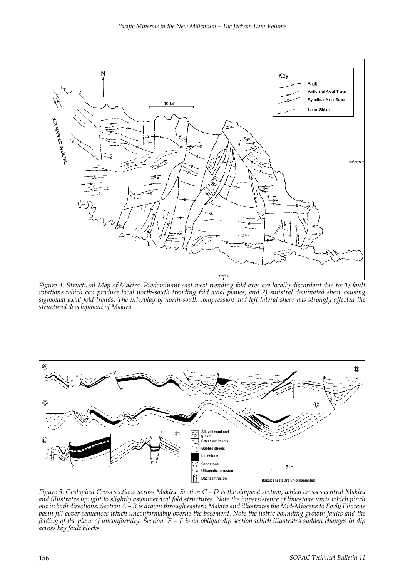

*Figure 4. Structural Map of Makira. Predominant east-west trending fold axes are locally discordant due to: 1) fault rotations which can produce local north-south trending fold axial planes; and 2) sinistral dominated shear causing sigmoidal axial fold trends. The interplay of north-south compression and left lateral shear has strongly affected the structural development of Makira.*



*Figure 5. Geological Cross sections across Makira. Section C – D is the simplest section, which crosses central Makira and illustrates upright to slightly asymmetrical fold structures. Note the impersistence of limestone units which pinch out in both directions. Section A – B is drawn through eastern Makira and illustrates the Mid-Miocene to Early Pliocene basin fill cover sequences which unconformably overlie the basement. Note the listric bounding growth faults and the folding of the plane of unconformity. Section E – F is an oblique dip section which illustrates sudden changes in dip across key fault blocks.*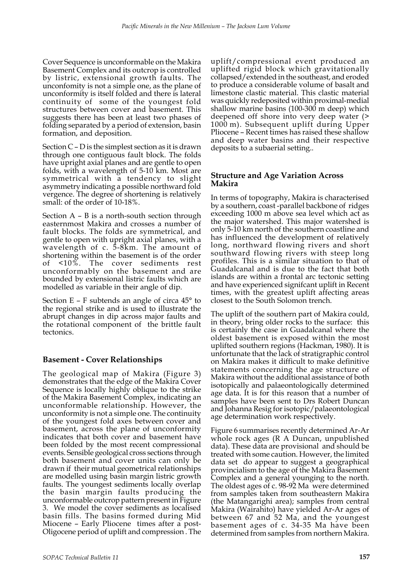Cover Sequence is unconformable on the Makira Basement Complex and its outcrop is controlled by listric, extensional growth faults. The unconfomity is not a simple one, as the plane of unconformity is itself folded and there is lateral continuity of some of the youngest fold structures between cover and basement. This suggests there has been at least two phases of folding separated by a period of extension, basin formation, and deposition.

Section C – D is the simplest section as it is drawn through one contiguous fault block. The folds have upright axial planes and are gentle to open folds, with a wavelength of 5-10 km. Most are symmetrical with a tendency to slight asymmetry indicating a possible northward fold vergence. The degree of shortening is relatively small: of the order of 10-18%.

Section A – B is a north-south section through easternmost Makira and crosses a number of fault blocks. The folds are symmetrical, and gentle to open with upright axial planes, with a wavelength of c. 5-8km. The amount of shortening within the basement is of the order of <10%. The cover sediments rest unconformably on the basement and are bounded by extensional listric faults which are modelled as variable in their angle of dip.

Section  $E - F$  subtends an angle of circa  $45^{\circ}$  to the regional strike and is used to illustrate the abrupt changes in dip across major faults and the rotational component of the brittle fault tectonics.

# **Basement - Cover Relationships**

The geological map of Makira (Figure 3) demonstrates that the edge of the Makira Cover Sequence is locally highly oblique to the strike of the Makira Basement Complex, indicating an unconformable relationship. However, the unconformity is not a simple one. The continuity of the youngest fold axes between cover and basement, across the plane of unconformity indicates that both cover and basement have been folded by the most recent compressional events. Sensible geological cross sections through both basement and cover units can only be drawn if their mutual geometrical relationships are modelled using basin margin listric growth faults. The youngest sediments locally overlap the basin margin faults producing the unconformable outcrop pattern present in Figure 3. We model the cover sediments as localised basin fills. The basins formed during Mid Miocene – Early Pliocene times after a post-Oligocene period of uplift and compression . The

uplift/compressional event produced an uplifted rigid block which gravitationally collapsed/extended in the southeast, and eroded to produce a considerable volume of basalt and limestone clastic material. This clastic material was quickly redeposited within proximal-medial shallow marine basins (100-300 m deep) which deepened off shore into very deep water (> 1000 m). Subsequent uplift during Upper Pliocene – Recent times has raised these shallow and deep water basins and their respective deposits to a subaerial setting..

### **Structure and Age Variation Across Makira**

In terms of topography, Makira is characterised by a southern, coast -parallel backbone of ridges exceeding 1000 m above sea level which act as the major watershed. This major watershed is only 5-10 km north of the southern coastline and has influenced the development of relatively long, northward flowing rivers and short southward flowing rivers with steep long profiles. This is a similar situation to that of Guadalcanal and is due to the fact that both islands are within a frontal arc tectonic setting and have experienced signifcant uplift in Recent times, with the greatest uplift affecting areas closest to the South Solomon trench.

The uplift of the southern part of Makira could, in theory, bring older rocks to the surface: this is certainly the case in Guadalcanal where the oldest basement is exposed within the most uplifted southern regions (Hackman, 1980). It is unfortunate that the lack of stratigraphic control on Makira makes it difficult to make definitive statements concerning the age structure of Makira without the additional assistance of both isotopically and palaeontologically determined age data. It is for this reason that a number of samples have been sent to Drs Robert Duncan and Johanna Resig for isotopic/palaeontological age determination work respectively.

Figure 6 summarises recently determined Ar-Ar whole rock ages (R A Duncan, unpublished data). These data are provisional and should be treated with some caution. However, the limited data set do appear to suggest a geographical provincialism to the age of the Makira Basement Complex and a general younging to the north. The oldest ages of c. 98-92 Ma were determined from samples taken from southeastern Makira (the Matangarighi area); samples from central Makira (Wairahito) have yielded Ar-Ar ages of between 67 and 52 Ma, and the youngest basement ages of c. 34-35 Ma have been determined from samples from northern Makira.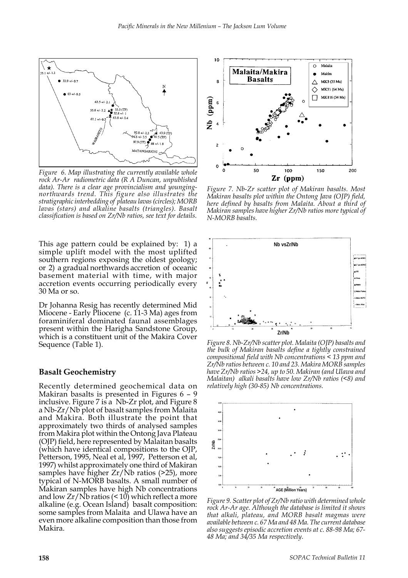

*Figure 6. Map illustrating the currently available whole rock Ar-Ar radiometric data (R A Duncan, unpublished data). There is a clear age provincialism and youngingnorthwards trend. This figure also illustrates the stratigraphic interbedding of plateau lavas (circles); MORB lavas (stars) and alkaline basalts (triangles). Basalt classification is based on Zr/Nb ratios, see text for details.*

This age pattern could be explained by: 1) a simple uplift model with the most uplifted southern regions exposing the oldest geology; or 2) a gradual northwards accretion of oceanic basement material with time, with major accretion events occurring periodically every 30 Ma or so.

Dr Johanna Resig has recently determined Mid Miocene - Early Pliocene (c. 11-3 Ma) ages from foraminiferal dominated faunal assemblages present within the Harigha Sandstone Group, which is a constituent unit of the Makira Cover Sequence (Table 1).

#### **Basalt Geochemistry**

Recently determined geochemical data on Makiran basalts is presented in Figures 6 – 9 inclusive. Figure 7 is a Nb-Zr plot, and Figure 8 a Nb-Zr/Nb plot of basalt samples from Malaita and Makira. Both illustrate the point that approximately two thirds of analysed samples from Makira plot within the Ontong Java Plateau (OJP) field, here represented by Malaitan basalts (which have identical compositions to the OJP, Petterson, 1995, Neal et al, 1997, Petterson et al, 1997) whilst approximately one third of Makiran samples have higher Zr/Nb ratios (>25), more typical of N-MORB basalts. A small number of Makiran samples have high Nb concentrations and low  $Zr/Nb$  ratios (< 10) which reflect a more alkaline (e.g. Ocean Island) basalt composition: some samples from Malaita and Ulawa have an even more alkaline composition than those from Makira.



*Figure 7. Nb-Zr scatter plot of Makiran basalts. Most Makiran basalts plot within the Ontong Java (OJP) field, here defined by basalts from Malaita. About a third of Makiran samples have higher Zr/Nb ratios more typical of N-MORB basalts.*



*Figure 8. Nb-Zr/Nb scatter plot. Malaita (OJP) basalts and the bulk of Makiran basalts define a tightly constrained compositional field with Nb concentrations < 13 ppm and Zr/Nb ratios between c. 10 and 23. Makira MORB samples have Zr/Nb ratios >24, up to 50. Makiran (and Ulawa and Malaitan) alkali basalts have low Zr/Nb ratios (<8) and relatively high (30-85) Nb concentrations.*



*Figure 9. Scatter plot of Zr/Nb ratio with determined whole rock Ar-Ar age. Although the database is limited it shows that alkali, plateau, and MORB basalt magmas were available between c. 67 Ma and 48 Ma. The current database also suggests episodic accretion events at c. 88-98 Ma; 67- 48 Ma; and 34/35 Ma respectively.*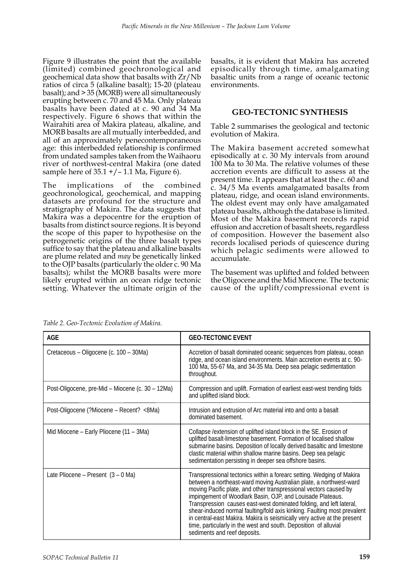Figure 9 illustrates the point that the available (limited) combined geochronological and geochemical data show that basalts with Zr/Nb ratios of circa 5 (alkaline basalt); 15-20 (plateau basalt); and > 35 (MORB) were all simultaneously erupting between c. 70 and 45 Ma. Only plateau basalts have been dated at c. 90 and 34 Ma respectively. Figure 6 shows that within the Wairahiti area of Makira plateau, alkaline, and MORB basalts are all mutually interbedded, and all of an approximately penecontemporaneous age: this interbedded relationship is confirmed from undated samples taken from the Waihaoru river of northwest-central Makira (one dated sample here of  $35.1 + / - 1.1$  Ma, Figure 6).

The implications of the combined geochronological, geochemical, and mapping datasets are profound for the structure and stratigraphy of Makira. The data suggests that Makira was a depocentre for the eruption of basalts from distinct source regions. It is beyond the scope of this paper to hypothesise on the petrogenetic origins of the three basalt types suffice to say that the plateau and alkaline basalts are plume related and *may* be genetically linked to the OJP basalts (particularly the older c. 90 Ma basalts); whilst the MORB basalts were more likely erupted within an ocean ridge tectonic setting. Whatever the ultimate origin of the

basalts, it is evident that Makira has accreted episodically through time, amalgamating basaltic units from a range of oceanic tectonic environments.

# **GEO-TECTONIC SYNTHESIS**

Table 2 summarises the geological and tectonic evolution of Makira.

The Makira basement accreted somewhat episodically at c. 30 My intervals from around 100 Ma to 30 Ma. The relative volumes of these accretion events are difficult to assess at the present time. It appears that at least the c. 60 and c. 34/5 Ma events amalgamated basalts from plateau, ridge, and ocean island environments. The oldest event may only have amalgamated plateau basalts, although the database is limited. Most of the Makira basement records rapid effusion and accretion of basalt sheets, regardless of composition. However the basement also records localised periods of quiescence during which pelagic sediments were allowed to accumulate.

The basement was uplifted and folded between the Oligocene and the Mid Miocene. The tectonic cause of the uplift/compressional event is

| <b>AGE</b>                                       | <b>GEO-TECTONIC EVENT</b>                                                                                                                                                                                                                                                                                                                                                                                                                                                                                                                                                                                         |
|--------------------------------------------------|-------------------------------------------------------------------------------------------------------------------------------------------------------------------------------------------------------------------------------------------------------------------------------------------------------------------------------------------------------------------------------------------------------------------------------------------------------------------------------------------------------------------------------------------------------------------------------------------------------------------|
| Cretaceous - Oligocene (c. 100 - 30Ma)           | Accretion of basalt dominated oceanic sequences from plateau, ocean<br>ridge, and ocean island environments. Main accretion events at c. 90-<br>100 Ma, 55-67 Ma, and 34-35 Ma. Deep sea pelagic sedimentation<br>throughout.                                                                                                                                                                                                                                                                                                                                                                                     |
| Post-Oligocene, pre-Mid - Miocene (c. 30 - 12Ma) | Compression and uplift. Formation of earliest east-west trending folds<br>and uplifted island block.                                                                                                                                                                                                                                                                                                                                                                                                                                                                                                              |
| Post-Oligocene (?Miocene – Recent? <8Ma)         | Intrusion and extrusion of Arc material into and onto a basalt<br>dominated basement.                                                                                                                                                                                                                                                                                                                                                                                                                                                                                                                             |
| Mid Miocene - Early Pliocene (11 - 3Ma)          | Collapse / extension of uplifted island block in the SE. Erosion of<br>uplifted basalt-limestone basement. Formation of localised shallow<br>submarine basins. Deposition of locally derived basaltic and limestone<br>clastic material within shallow marine basins. Deep sea pelagic<br>sedimentation persisting in deeper sea offshore basins.                                                                                                                                                                                                                                                                 |
| Late Pliocene - Present (3 - 0 Ma)               | Transpressional tectonics within a forearc setting. Wedging of Makira<br>between a northeast-ward moving Australian plate, a northwest-ward<br>moving Pacific plate, and other transpressional vectors caused by<br>impingement of Woodlark Basin, OJP, and Louisade Plateaus.<br>Transpression causes east-west dominated folding, and left lateral,<br>shear-induced normal faulting/fold axis kinking. Faulting most prevalent<br>in central-east Makira. Makira is seismically very active at the present<br>time, particularly in the west and south. Deposition of alluvial<br>sediments and reef deposits. |

*Table 2. Geo-Tectonic Evolution of Makira.*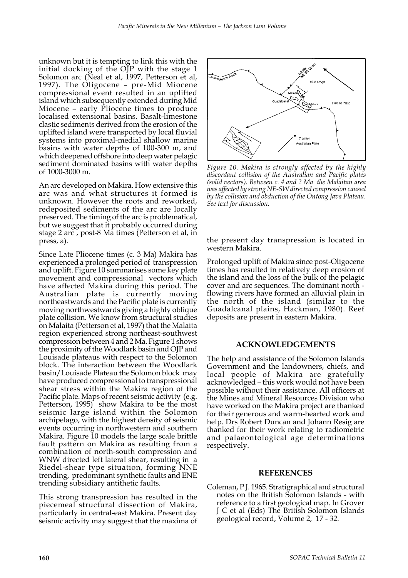unknown but it is tempting to link this with the initial docking of the OJP with the stage 1 Solomon arc (Neal et al, 1997, Petterson et al, 1997). The Oligocene – pre-Mid Miocene compressional event resulted in an uplifted island which subsequently extended during Mid Miocene – early Pliocene times to produce localised extensional basins. Basalt-limestone clastic sediments derived from the erosion of the uplifted island were transported by local fluvial systems into proximal-medial shallow marine basins with water depths of 100-300 m, and which deepened offshore into deep water pelagic sediment dominated basins with water depths of 1000-3000 m.

An arc developed on Makira. How extensive this arc was and what structures it formed is unknown. However the roots and reworked, redeposited sediments of the arc are locally preserved. The timing of the arc is problematical, but we suggest that it probably occurred during stage 2 arc , post-8 Ma times (Petterson et al, in press, a).

Since Late Pliocene times (c. 3 Ma) Makira has experienced a prolonged period of transpression and uplift. Figure 10 summarises some key plate movement and compressional vectors which have affected Makira during this period. The Australian plate is currently moving northeastwards and the Pacific plate is currently moving northwestwards giving a highly oblique plate collision. We know from structural studies on Malaita (Petterson et al, 1997) that the Malaita region experienced strong northeast-southwest compression between 4 and 2 Ma. Figure 1 shows the proximity of the Woodlark basin and OJP and Louisade plateaus with respect to the Solomon block. The interaction between the Woodlark basin/Louisade Plateau the Solomon block may have produced compressional to transpressional shear stress within the Makira region of the Pacific plate. Maps of recent seismic activity (e.g. Petterson, 1995) show Makira to be the most seismic large island within the Solomon archipelago, with the highest density of seismic events occurring in northwestern and southern Makira. Figure 10 models the large scale brittle fault pattern on Makira as resulting from a combination of north-south compression and WNW directed left lateral shear, resulting in a Riedel-shear type situation, forming NNE trending, predominant synthetic faults and ENE trending subsidiary antithetic faults.

This strong transpression has resulted in the piecemeal structural dissection of Makira, particularly in central-east Makira. Present day seismic activity may suggest that the maxima of



*Figure 10. Makira is strongly affected by the highly discordant collision of the Australian and Pacific plates (solid vectors). Between c. 4 and 2 Ma the Malaitan area was affected by strong NE-SW directed compression caused by the collision and obduction of the Ontong Java Plateau. See text for discussion.*

the present day transpression is located in western Makira.

Prolonged uplift of Makira since post-Oligocene times has resulted in relatively deep erosion of the island and the loss of the bulk of the pelagic cover and arc sequences. The dominant north flowing rivers have formed an alluvial plain in the north of the island (similar to the Guadalcanal plains, Hackman, 1980). Reef deposits are present in eastern Makira.

### **ACKNOWLEDGEMENTS**

The help and assistance of the Solomon Islands Government and the landowners, chiefs, and local people of Makira are gratefully acknowledged – this work would not have been possible without their assistance. All officers at the Mines and Mineral Resources Division who have worked on the Makira project are thanked for their generous and warm-hearted work and help. Drs Robert Duncan and Johann Resig are thanked for their work relating to radiometric and palaeontological age determinations respectively.

#### **REFERENCES**

Coleman, P J. 1965. Stratigraphical and structural notes on the British Solomon Islands - with reference to a first geological map. In Grover J C et al (Eds) The British Solomon Islands geological record, Volume 2, 17 - 32.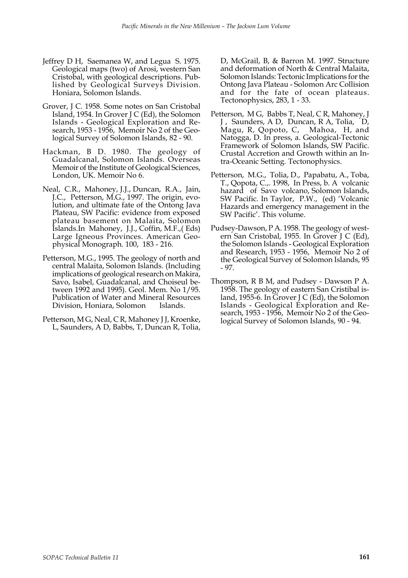- Jeffrey D H, Saemanea W, and Legua S. 1975. Geological maps (two) of Arosi, western San Cristobal, with geological descriptions. Published by Geological Surveys Division. Honiara, Solomon Islands.
- Grover, J C. 1958. Some notes on San Cristobal Island, 1954. In Grover J C (Ed), the Solomon Islands - Geological Exploration and Research, 1953 - 1956, Memoir No 2 of the Geological Survey of Solomon Islands, 82 - 90.
- Hackman, B D. 1980. The geology of Guadalcanal, Solomon Islands. Overseas Memoir of the Institute of Geological Sciences, London, UK. Memoir No 6.
- Neal, C.R., Mahoney, J.J., Duncan, R.A., Jain, J.C., Petterson, M.G., 1997. The origin, evolution, and ultimate fate of the Ontong Java Plateau, SW Pacific: evidence from exposed plateau basement on Malaita, Solomon Islands.In Mahoney, J.J., Coffin, M.F.,( Eds) Large Igneous Provinces. American Geophysical Monograph. 100, 183 - 216.
- Petterson, M.G., 1995. The geology of north and central Malaita, Solomon Islands. (Including implications of geological research on Makira, Savo, Isabel, Guadalcanal, and Choiseul between 1992 and 1995). Geol. Mem. No 1/95. Publication of Water and Mineral Resources Division, Honiara, Solomon Islands.
- Petterson, M G, Neal, C R, Mahoney J J, Kroenke, L, Saunders, A D, Babbs, T, Duncan R, Tolia,

D, McGrail, B, & Barron M. 1997. Structure and deformation of North & Central Malaita, Solomon Islands: Tectonic Implications for the Ontong Java Plateau - Solomon Arc Collision and for the fate of ocean plateaus. Tectonophysics, 283, 1 - 33.

- Petterson, M G, Babbs T, Neal, C R, Mahoney, J J, Saunders, A D, Duncan, R A, Tolia, D, Magu, R, Qopoto, C, Mahoa, H, and Natogga, D. In press, a. Geological-Tectonic Framework of Solomon Islands, SW Pacific. Crustal Accretion and Growth within an Intra-Oceanic Setting. Tectonophysics.
- Petterson, M.G., Tolia, D., Papabatu, A., Toba, T., Qopota, C.,. 1998, In Press, b. A volcanic hazard of Savo volcano, Solomon Islands, SW Pacific. In Taylor, P.W., (ed) 'Volcanic Hazards and emergency management in the SW Pacific'. This volume.
- Pudsey-Dawson, P A. 1958. The geology of western San Cristobal, 1955. In Grover J C (Ed), the Solomon Islands - Geological Exploration and Research, 1953 - 1956, Memoir No 2 of the Geological Survey of Solomon Islands, 95 - 97.
- Thompson, R B M, and Pudsey Dawson P A. 1958. The geology of eastern San Cristibal island, 1955-6. In Grover J C (Ed), the Solomon Islands - Geological Exploration and Research, 1953 - 1956, Memoir No 2 of the Geological Survey of Solomon Islands, 90 - 94.